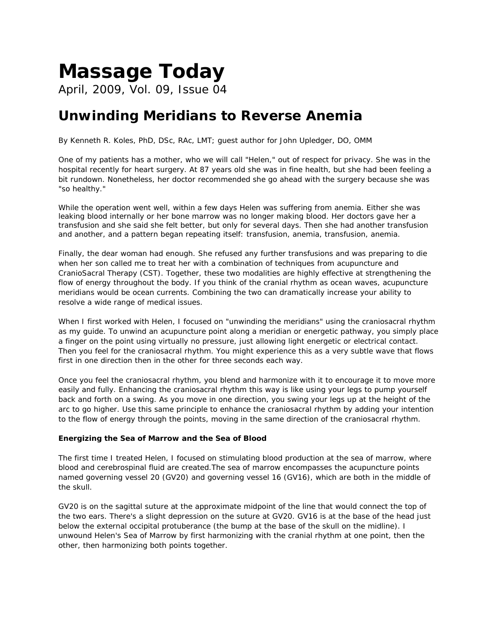## *Massage Today*

April, 2009, Vol. 09, Issue 04

## **Unwinding Meridians to Reverse Anemia**

*By Kenneth R. Koles, PhD, DSc, RAc, LMT; guest author for John Upledger, DO, OMM* 

One of my patients has a mother, who we will call "Helen," out of respect for privacy. She was in the hospital recently for heart surgery. At 87 years old she was in fine health, but she had been feeling a bit rundown. Nonetheless, her doctor recommended she go ahead with the surgery because she was "so healthy."

While the operation went well, within a few days Helen was suffering from anemia. Either she was leaking blood internally or her bone marrow was no longer making blood. Her doctors gave her a transfusion and she said she felt better, but only for several days. Then she had another transfusion and another, and a pattern began repeating itself: transfusion, anemia, transfusion, anemia.

Finally, the dear woman had enough. She refused any further transfusions and was preparing to die when her son called me to treat her with a combination of techniques from acupuncture and CranioSacral Therapy (CST). Together, these two modalities are highly effective at strengthening the flow of energy throughout the body. If you think of the cranial rhythm as ocean waves, acupuncture meridians would be ocean currents. Combining the two can dramatically increase your ability to resolve a wide range of medical issues.

When I first worked with Helen, I focused on "unwinding the meridians" using the craniosacral rhythm as my guide. To unwind an acupuncture point along a meridian or energetic pathway, you simply place a finger on the point using virtually no pressure, just allowing light energetic or electrical contact. Then you feel for the craniosacral rhythm. You might experience this as a very subtle wave that flows first in one direction then in the other for three seconds each way.

Once you feel the craniosacral rhythm, you blend and harmonize with it to encourage it to move more easily and fully. Enhancing the craniosacral rhythm this way is like using your legs to pump yourself back and forth on a swing. As you move in one direction, you swing your legs up at the height of the arc to go higher. Use this same principle to enhance the craniosacral rhythm by adding your intention to the flow of energy through the points, moving in the same direction of the craniosacral rhythm.

## **Energizing the Sea of Marrow and the Sea of Blood**

The first time I treated Helen, I focused on stimulating blood production at the sea of marrow, where blood and cerebrospinal fluid are created.The sea of marrow encompasses the acupuncture points named governing vessel 20 (GV20) and governing vessel 16 (GV16), which are both in the middle of the skull.

GV20 is on the sagittal suture at the approximate midpoint of the line that would connect the top of the two ears. There's a slight depression on the suture at GV20. GV16 is at the base of the head just below the external occipital protuberance (the bump at the base of the skull on the midline). I unwound Helen's Sea of Marrow by first harmonizing with the cranial rhythm at one point, then the other, then harmonizing both points together.